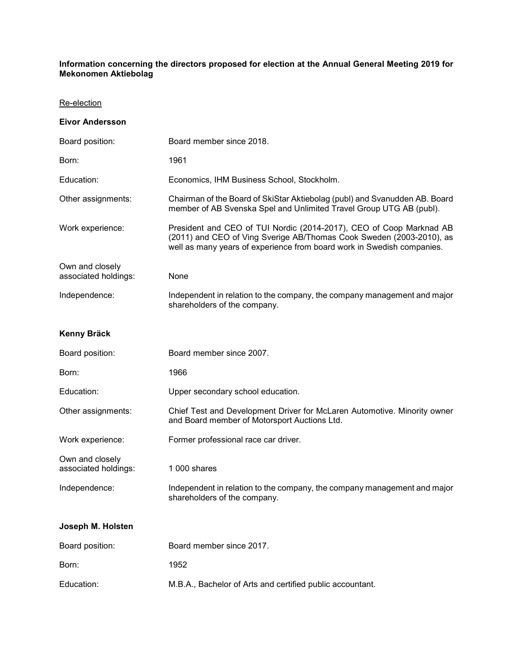## **Information concerning the directors proposed for election at the Annual General Meeting 2019 for Mekonomen Aktiebolag**

## Re-election

| <b>Eivor Andersson</b>                  |                                                                                                                                                                                                                       |
|-----------------------------------------|-----------------------------------------------------------------------------------------------------------------------------------------------------------------------------------------------------------------------|
| Board position:                         | Board member since 2018.                                                                                                                                                                                              |
| Born:                                   | 1961                                                                                                                                                                                                                  |
| Education:                              | Economics, IHM Business School, Stockholm.                                                                                                                                                                            |
| Other assignments:                      | Chairman of the Board of SkiStar Aktiebolag (publ) and Svanudden AB. Board<br>member of AB Svenska Spel and Unlimited Travel Group UTG AB (publ).                                                                     |
| Work experience:                        | President and CEO of TUI Nordic (2014-2017), CEO of Coop Marknad AB<br>(2011) and CEO of Ving Sverige AB/Thomas Cook Sweden (2003-2010), as<br>well as many years of experience from board work in Swedish companies. |
| Own and closely<br>associated holdings: | None                                                                                                                                                                                                                  |
| Independence:                           | Independent in relation to the company, the company management and major<br>shareholders of the company.                                                                                                              |
| <b>Kenny Bräck</b>                      |                                                                                                                                                                                                                       |
| Board position:                         | Board member since 2007.                                                                                                                                                                                              |
| Born:                                   | 1966                                                                                                                                                                                                                  |
| Education:                              | Upper secondary school education.                                                                                                                                                                                     |
| Other assignments:                      | Chief Test and Development Driver for McLaren Automotive. Minority owner<br>and Board member of Motorsport Auctions Ltd.                                                                                              |
| Work experience:                        | Former professional race car driver.                                                                                                                                                                                  |
| Own and closely<br>associated holdings: | 1 000 shares                                                                                                                                                                                                          |
| Independence:                           | Independent in relation to the company, the company management and major<br>shareholders of the company.                                                                                                              |
| Joseph M. Holsten                       |                                                                                                                                                                                                                       |
| Board position:                         | Board member since 2017.                                                                                                                                                                                              |
| Born:                                   | 1952                                                                                                                                                                                                                  |
| Education:                              | M.B.A., Bachelor of Arts and certified public accountant.                                                                                                                                                             |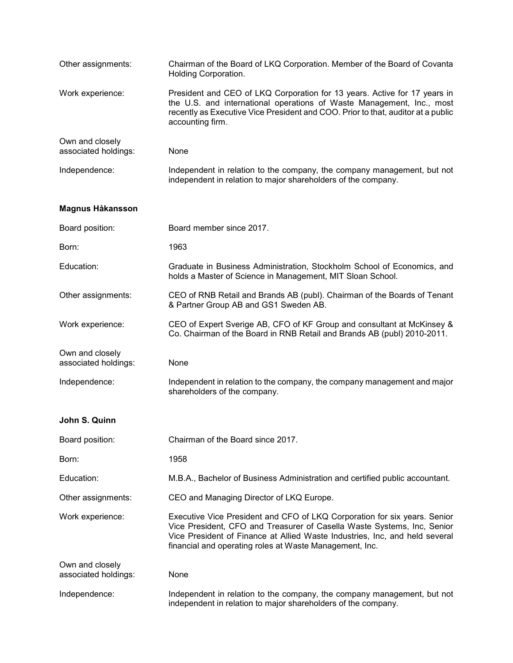| Other assignments:                      | Chairman of the Board of LKQ Corporation. Member of the Board of Covanta<br>Holding Corporation.                                                                                                                                                                                               |
|-----------------------------------------|------------------------------------------------------------------------------------------------------------------------------------------------------------------------------------------------------------------------------------------------------------------------------------------------|
| Work experience:                        | President and CEO of LKQ Corporation for 13 years. Active for 17 years in<br>the U.S. and international operations of Waste Management, Inc., most<br>recently as Executive Vice President and COO. Prior to that, auditor at a public<br>accounting firm.                                     |
| Own and closely<br>associated holdings: | None                                                                                                                                                                                                                                                                                           |
| Independence:                           | Independent in relation to the company, the company management, but not<br>independent in relation to major shareholders of the company.                                                                                                                                                       |
| Magnus Håkansson                        |                                                                                                                                                                                                                                                                                                |
| Board position:                         | Board member since 2017.                                                                                                                                                                                                                                                                       |
| Born:                                   | 1963                                                                                                                                                                                                                                                                                           |
| Education:                              | Graduate in Business Administration, Stockholm School of Economics, and<br>holds a Master of Science in Management, MIT Sloan School.                                                                                                                                                          |
| Other assignments:                      | CEO of RNB Retail and Brands AB (publ). Chairman of the Boards of Tenant<br>& Partner Group AB and GS1 Sweden AB.                                                                                                                                                                              |
| Work experience:                        | CEO of Expert Sverige AB, CFO of KF Group and consultant at McKinsey &<br>Co. Chairman of the Board in RNB Retail and Brands AB (publ) 2010-2011.                                                                                                                                              |
| Own and closely<br>associated holdings: | None                                                                                                                                                                                                                                                                                           |
| Independence:                           | Independent in relation to the company, the company management and major<br>shareholders of the company.                                                                                                                                                                                       |
| John S. Quinn                           |                                                                                                                                                                                                                                                                                                |
| Board position:                         | Chairman of the Board since 2017.                                                                                                                                                                                                                                                              |
| Born:                                   | 1958                                                                                                                                                                                                                                                                                           |
| Education:                              | M.B.A., Bachelor of Business Administration and certified public accountant.                                                                                                                                                                                                                   |
| Other assignments:                      | CEO and Managing Director of LKQ Europe.                                                                                                                                                                                                                                                       |
| Work experience:                        | Executive Vice President and CFO of LKQ Corporation for six years. Senior<br>Vice President, CFO and Treasurer of Casella Waste Systems, Inc, Senior<br>Vice President of Finance at Allied Waste Industries, Inc, and held several<br>financial and operating roles at Waste Management, Inc. |
| Own and closely<br>associated holdings: | None                                                                                                                                                                                                                                                                                           |
| Independence:                           | Independent in relation to the company, the company management, but not<br>independent in relation to major shareholders of the company.                                                                                                                                                       |